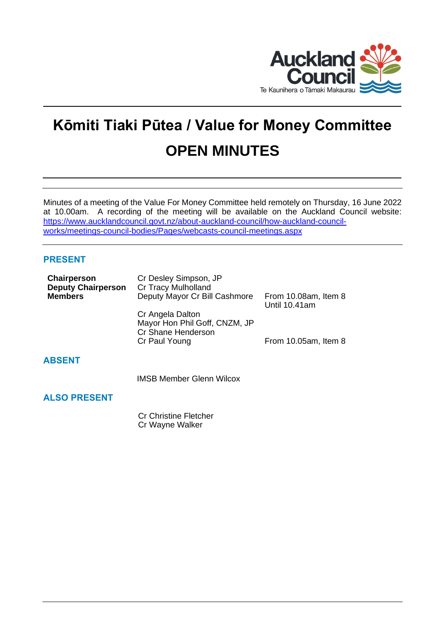

# **Kōmiti Tiaki Pūtea / Value for Money Committee OPEN MINUTES**

Minutes of a meeting of the Value For Money Committee held remotely on Thursday, 16 June 2022 at 10.00am. A recording of the meeting will be available on the Auckland Council website: [https://www.aucklandcouncil.govt.nz/about-auckland-council/how-auckland-council](https://www.aucklandcouncil.govt.nz/about-auckland-council/how-auckland-council-works/meetings-council-bodies/Pages/webcasts-council-meetings.aspx)[works/meetings-council-bodies/Pages/webcasts-council-meetings.aspx](https://www.aucklandcouncil.govt.nz/about-auckland-council/how-auckland-council-works/meetings-council-bodies/Pages/webcasts-council-meetings.aspx)

# **PRESENT**

| Chairperson<br><b>Deputy Chairperson</b> | Cr Desley Simpson, JP<br>Cr Tracy Mulholland                            |                                       |
|------------------------------------------|-------------------------------------------------------------------------|---------------------------------------|
| <b>Members</b>                           | Deputy Mayor Cr Bill Cashmore                                           | From 10.08am, Item 8<br>Until 10.41am |
|                                          | Cr Angela Dalton<br>Mayor Hon Phil Goff, CNZM, JP<br>Cr Shane Henderson |                                       |
|                                          | Cr Paul Young                                                           | From 10.05am, Item 8                  |
| <b>ABSENT</b>                            |                                                                         |                                       |
|                                          | <b>IMSB Member Glenn Wilcox</b>                                         |                                       |
| <b>ALSO PRESENT</b>                      |                                                                         |                                       |

Cr Christine Fletcher Cr Wayne Walker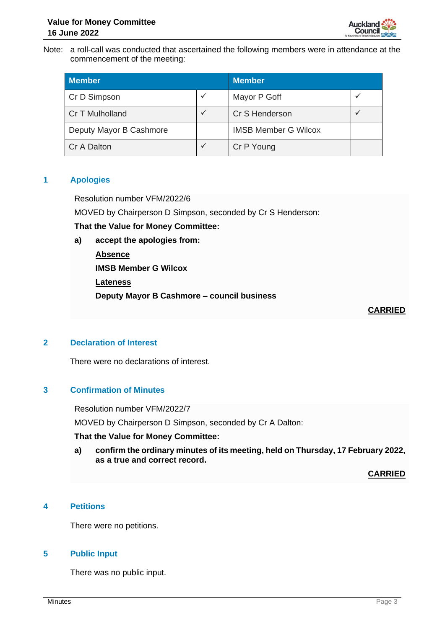

Note: a roll-call was conducted that ascertained the following members were in attendance at the commencement of the meeting:

| <b>Member</b>           |              | <b>Member</b>               |  |
|-------------------------|--------------|-----------------------------|--|
| Cr D Simpson            | ✓            | Mayor P Goff                |  |
| Cr T Mulholland         | $\checkmark$ | Cr S Henderson              |  |
| Deputy Mayor B Cashmore |              | <b>IMSB Member G Wilcox</b> |  |
| Cr A Dalton             | $\checkmark$ | Cr P Young                  |  |

## **1 Apologies**

Resolution number VFM/2022/6

MOVED by Chairperson D Simpson, seconded by Cr S Henderson:

**That the Value for Money Committee:**

**a) accept the apologies from:**

**Absence IMSB Member G Wilcox Lateness Deputy Mayor B Cashmore – council business**

**CARRIED**

## **2 Declaration of Interest**

There were no declarations of interest.

# **3 Confirmation of Minutes**

Resolution number VFM/2022/7

MOVED by Chairperson D Simpson, seconded by Cr A Dalton:

## **That the Value for Money Committee:**

**a) confirm the ordinary minutes of its meeting, held on Thursday, 17 February 2022, as a true and correct record.**

**CARRIED**

# **4 Petitions**

There were no petitions.

## **5 Public Input**

There was no public input.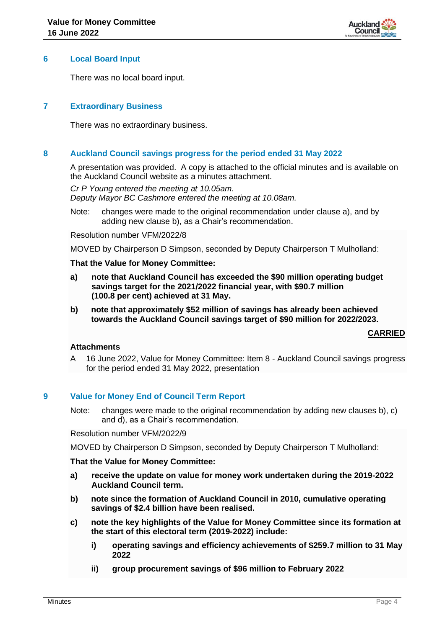

## **6 Local Board Input**

There was no local board input.

## **7 Extraordinary Business**

There was no extraordinary business.

## **8 Auckland Council savings progress for the period ended 31 May 2022**

A presentation was provided. A copy is attached to the official minutes and is available on the Auckland Council website as a minutes attachment.

*Cr P Young entered the meeting at 10.05am.*

*Deputy Mayor BC Cashmore entered the meeting at 10.08am.*

Note: changes were made to the original recommendation under clause a), and by adding new clause b), as a Chair's recommendation.

Resolution number VFM/2022/8

MOVED by Chairperson D Simpson, seconded by Deputy Chairperson T Mulholland:

### **That the Value for Money Committee:**

- **a) note that Auckland Council has exceeded the \$90 million operating budget savings target for the 2021/2022 financial year, with \$90.7 million (100.8 per cent) achieved at 31 May.**
- **b) note that approximately \$52 million of savings has already been achieved towards the Auckland Council savings target of \$90 million for 2022/2023.**

### **CARRIED**

# **Attachments**

A 16 June 2022, Value for Money Committee: Item 8 - Auckland Council savings progress for the period ended 31 May 2022, presentation

## **9 Value for Money End of Council Term Report**

Note: changes were made to the original recommendation by adding new clauses b), c) and d), as a Chair's recommendation.

Resolution number VFM/2022/9

MOVED by Chairperson D Simpson, seconded by Deputy Chairperson T Mulholland:

### **That the Value for Money Committee:**

- **a) receive the update on value for money work undertaken during the 2019-2022 Auckland Council term.**
- **b) note since the formation of Auckland Council in 2010, cumulative operating savings of \$2.4 billion have been realised.**
- **c) note the key highlights of the Value for Money Committee since its formation at the start of this electoral term (2019-2022) include:**
	- **i) operating savings and efficiency achievements of \$259.7 million to 31 May 2022**
	- **ii) group procurement savings of \$96 million to February 2022**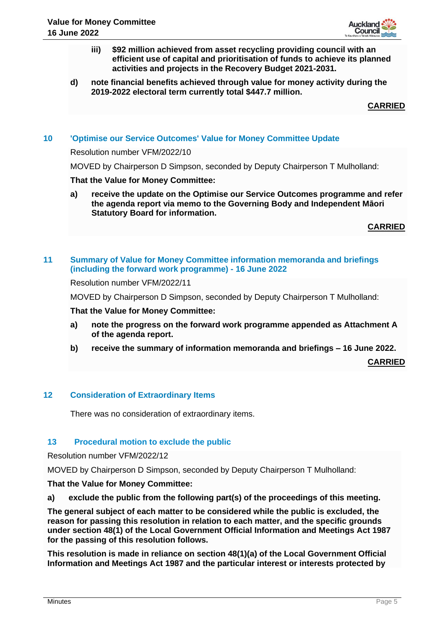

- **iii) \$92 million achieved from asset recycling providing council with an efficient use of capital and prioritisation of funds to achieve its planned activities and projects in the Recovery Budget 2021-2031.**
- **d) note financial benefits achieved through value for money activity during the 2019-2022 electoral term currently total \$447.7 million.**

**CARRIED**

## **10 'Optimise our Service Outcomes' Value for Money Committee Update**

Resolution number VFM/2022/10

MOVED by Chairperson D Simpson, seconded by Deputy Chairperson T Mulholland:

### **That the Value for Money Committee:**

**a) receive the update on the Optimise our Service Outcomes programme and refer the agenda report via memo to the Governing Body and Independent Māori Statutory Board for information.**

**CARRIED**

## **11 Summary of Value for Money Committee information memoranda and briefings (including the forward work programme) - 16 June 2022**

Resolution number VFM/2022/11

MOVED by Chairperson D Simpson, seconded by Deputy Chairperson T Mulholland:

#### **That the Value for Money Committee:**

- **a) note the progress on the forward work programme appended as Attachment A of the agenda report.**
- **b) receive the summary of information memoranda and briefings – 16 June 2022.**

**CARRIED**

## **12 Consideration of Extraordinary Items**

There was no consideration of extraordinary items.

### **13 Procedural motion to exclude the public**

Resolution number VFM/2022/12

MOVED by Chairperson D Simpson, seconded by Deputy Chairperson T Mulholland:

#### **That the Value for Money Committee:**

**a) exclude the public from the following part(s) of the proceedings of this meeting.**

**The general subject of each matter to be considered while the public is excluded, the reason for passing this resolution in relation to each matter, and the specific grounds under section 48(1) of the Local Government Official Information and Meetings Act 1987 for the passing of this resolution follows.**

**This resolution is made in reliance on section 48(1)(a) of the Local Government Official Information and Meetings Act 1987 and the particular interest or interests protected by**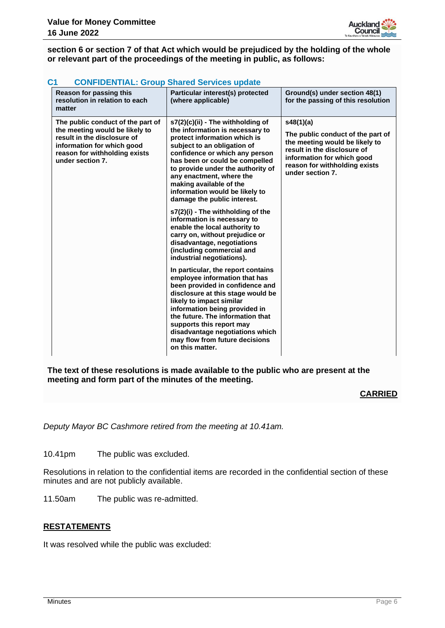

**section 6 or section 7 of that Act which would be prejudiced by the holding of the whole or relevant part of the proceedings of the meeting in public, as follows:**

| C <sub>1</sub><br><b>CONFIDENTIAL: Group Shared Services update</b>                                                                                                                   |                                                                                                                                                                                                                                                                                                                                                                      |                                                                                                                                                                                                    |  |  |
|---------------------------------------------------------------------------------------------------------------------------------------------------------------------------------------|----------------------------------------------------------------------------------------------------------------------------------------------------------------------------------------------------------------------------------------------------------------------------------------------------------------------------------------------------------------------|----------------------------------------------------------------------------------------------------------------------------------------------------------------------------------------------------|--|--|
| Reason for passing this<br>resolution in relation to each<br>matter                                                                                                                   | Particular interest(s) protected<br>(where applicable)                                                                                                                                                                                                                                                                                                               | Ground(s) under section 48(1)<br>for the passing of this resolution                                                                                                                                |  |  |
| The public conduct of the part of<br>the meeting would be likely to<br>result in the disclosure of<br>information for which good<br>reason for withholding exists<br>under section 7. | s7(2)(c)(ii) - The withholding of<br>the information is necessary to<br>protect information which is<br>subject to an obligation of<br>confidence or which any person<br>has been or could be compelled<br>to provide under the authority of<br>any enactment, where the<br>making available of the<br>information would be likely to<br>damage the public interest. | s48(1)(a)<br>The public conduct of the part of<br>the meeting would be likely to<br>result in the disclosure of<br>information for which good<br>reason for withholding exists<br>under section 7. |  |  |
|                                                                                                                                                                                       | s7(2)(i) - The withholding of the<br>information is necessary to<br>enable the local authority to<br>carry on, without prejudice or<br>disadvantage, negotiations<br>(including commercial and<br>industrial negotiations).                                                                                                                                          |                                                                                                                                                                                                    |  |  |
|                                                                                                                                                                                       | In particular, the report contains<br>employee information that has<br>been provided in confidence and<br>disclosure at this stage would be<br>likely to impact similar<br>information being provided in<br>the future. The information that<br>supports this report may<br>disadvantage negotiations which<br>may flow from future decisions<br>on this matter.     |                                                                                                                                                                                                    |  |  |

**The text of these resolutions is made available to the public who are present at the meeting and form part of the minutes of the meeting.**

### **CARRIED**

*Deputy Mayor BC Cashmore retired from the meeting at 10.41am.*

10.41pm The public was excluded.

Resolutions in relation to the confidential items are recorded in the confidential section of these minutes and are not publicly available.

11.50am The public was re-admitted.

## **RESTATEMENTS**

It was resolved while the public was excluded: